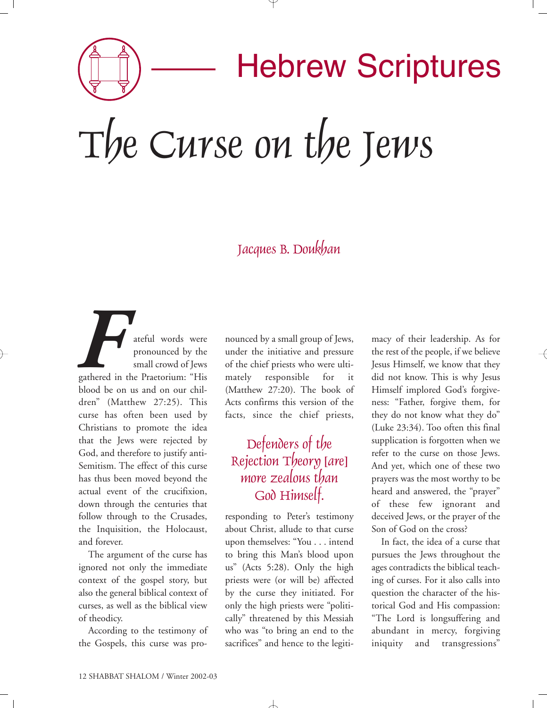Hebrew Scriptures The Curse on the Jews

## Jacques B. Doukhan

ateful words were pronounced by the small crowd of Jews gathered in the Praetorium: "His blood be on us and on our children" (Matthew 27:25). This curse has often been used by Christians to promote the idea that the Jews were rejected by God, and therefore to justify anti-Semitism. The effect of this curse has thus been moved beyond the actual event of the crucifixion, down through the centuries that follow through to the Crusades, the Inquisition, the Holocaust, and forever. **F**<br>gathered in

The argument of the curse has ignored not only the immediate context of the gospel story, but also the general biblical context of curses, as well as the biblical view of theodicy.

According to the testimony of the Gospels, this curse was pro-

nounced by a small group of Jews, under the initiative and pressure of the chief priests who were ultimately responsible for it (Matthew 27:20). The book of Acts confirms this version of the facts, since the chief priests,

## Defenders of the Rejection Theory [are] more zealous than God Himself.

responding to Peter's testimony about Christ, allude to that curse upon themselves: "You . . . intend to bring this Man's blood upon us" (Acts 5:28). Only the high priests were (or will be) affected by the curse they initiated. For only the high priests were "politically" threatened by this Messiah who was "to bring an end to the sacrifices" and hence to the legiti-

 $\overline{\phantom{a}}$ 

macy of their leadership. As for the rest of the people, if we believe Jesus Himself, we know that they did not know. This is why Jesus Himself implored God's forgiveness: "Father, forgive them, for they do not know what they do" (Luke 23:34). Too often this final supplication is forgotten when we refer to the curse on those Jews. And yet, which one of these two prayers was the most worthy to be heard and answered, the "prayer" of these few ignorant and deceived Jews, or the prayer of the Son of God on the cross?

In fact, the idea of a curse that pursues the Jews throughout the ages contradicts the biblical teaching of curses. For it also calls into question the character of the historical God and His compassion: "The Lord is longsuffering and abundant in mercy, forgiving iniquity and transgressions"